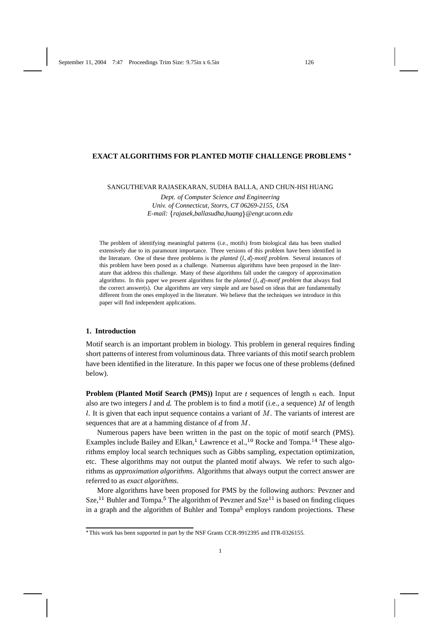# **EXACT ALGORITHMS FOR PLANTED MOTIF CHALLENGE PROBLEMS**

SANGUTHEVAR RAJASEKARAN, SUDHA BALLA, AND CHUN-HSI HUANG

*Dept. of Computer Science and Engineering Univ. of Connecticut, Storrs, CT 06269-2155, USA E-mail: rajasek,ballasudha,huang*-*@engr.uconn.edu*

The problem of identifying meaningful patterns (i.e., motifs) from biological data has been studied extensively due to its paramount importance. Three versions of this problem have been identified in the literature. One of these three problems is the *planted -motif problem*. Several instances of this problem have been posed as a challenge. Numerous algorithms have been proposed in the literature that address this challenge. Many of these algorithms fall under the category of approximation algorithms. In this paper we present algorithms for the *planted*  $(l, d)$ -motif problem that always find the correct answer(s). Our algorithms are very simple and are based on ideas that are fundamentally different from the ones employed in the literature. We believe that the techniques we introduce in this paper will find independent applications.

# **1. Introduction**

Motif search is an important problem in biology. This problem in general requires finding short patterns of interest from voluminous data. Three variants of this motif search problem have been identified in the literature. In this paper we focus one of these problems (defined below).

**Problem (Planted Motif Search (PMS))** Input are  $t$  sequences of length  $n$  each. Input also are two integers l and d. The problem is to find a motif (i.e., a sequence) M of length l. It is given that each input sequence contains a variant of  $M$ . The variants of interest are sequences that are at a hamming distance of  $d$  from  $M$ .

Numerous papers have been written in the past on the topic of motif search (PMS). Examples include Bailey and Elkan,<sup>1</sup> Lawrence et al., <sup>10</sup> Rocke and Tompa.<sup>14</sup> These algorithms employ local search techniques such as Gibbs sampling, expectation optimization, etc. These algorithms may not output the planted motif always. We refer to such algorithms as *approximation algorithms*. Algorithms that always output the correct answer are referred to as *exact algorithms*.

More algorithms have been proposed for PMS by the following authors: Pevzner and Sze,<sup>11</sup> Buhler and Tompa.<sup>5</sup> The algorithm of Pevzner and Sze<sup>11</sup> is based on finding cliques in a graph and the algorithm of Buhler and Tompa<sup>5</sup> employs random projections. These

This work has been supported in part by the NSF Grants CCR-9912395 and ITR-0326155.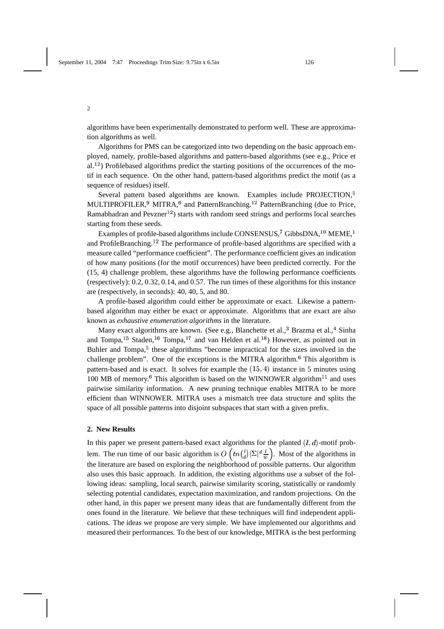algorithms have been experimentally demonstrated to perform well. These are approximation algorithms as well.

Algorithms for PMS can be categorized into two depending on the basic approach employed, namely, profile-based algorithms and pattern-based algorithms (see e.g., Price et  $al.$ <sup>12</sup>) Profilebased algorithms predict the starting positions of the occurrences of the motif in each sequence. On the other hand, pattern-based algorithms predict the motif (as a sequence of residues) itself.

Several pattern based algorithms are known. Examples include PROJECTION,<sup>5</sup> MULTIPROFILER,<sup>9</sup> MITRA,<sup>6</sup> and PatternBranching.<sup>12</sup> PatternBranching (due to Price, Ramabhadran and  $Pevzner<sup>12</sup>$ ) starts with random seed strings and performs local searches starting from these seeds.

Examples of profile-based algorithms include CONSENSUS,<sup>7</sup> GibbsDNA, $^{10}$  MEME, $^{1}$ and ProfileBranching.<sup>12</sup> The performance of profile-based algorithms are specified with a measure called "performance coefficient". The performance coefficient gives an indication of how many positions (for the motif occurrences) have been predicted correctly. For the (15, 4) challenge problem, these algorithms have the following performance coefficients (respectively): 0.2, 0.32, 0.14, and 0.57. The run times of these algorithms for this instance are (respectively, in seconds): 40, 40, 5, and 80.

A profile-based algorithm could either be approximate or exact. Likewise a patternbased algorithm may either be exact or approximate. Algorithms that are exact are also known as *exhaustive enumeration algorithms* in the literature.

Many exact algorithms are known. (See e.g., Blanchette et al.,  $3$  Brazma et al.,  $4$  Sinha and Tompa,<sup>15</sup> Staden,<sup>16</sup> Tompa,<sup>17</sup> and van Helden et al.<sup>18</sup>) However, as pointed out in Buhler and Tompa, $5$  these algorithms "become impractical for the sizes involved in the challenge problem". One of the exceptions is the MITRA algorithm.<sup>6</sup> This algorithm is pattern-based and is exact. It solves for example the  $(15, 4)$  instance in 5 minutes using 100 MB of memory.<sup>6</sup> This algorithm is based on the WINNOWER algorithm<sup>11</sup> and uses pairwise similarity information. A new pruning technique enables MITRA to be more efficient than WINNOWER. MITRA uses a mismatch tree data structure and splits the space of all possible patterns into disjoint subspaces that start with a given prefix.

### **2. New Results**

In this paper we present pattern-based exact algorithms for the planted  $(l, d)$ -motif problem. The run time of our basic algorithm is  $O(tn {t \choose q} \sum {\frac{l}{n} \choose {m}}$ . Most of the algorithms in the literature are based on exploring the neighborhood of possible patterns. Our algorithm also uses this basic approach. In addition, the existing algorithms use a subset of the following ideas: sampling, local search, pairwise similarity scoring, statistically or randomly selecting potential candidates, expectation maximization, and random projections. On the other hand, in this paper we present many ideas that are fundamentally different from the ones found in the literature. We believe that these techniques will find independent applications. The ideas we propose are very simple. We have implemented our algorithms and measured their performances. To the best of our knowledge, MITRA is the best performing

2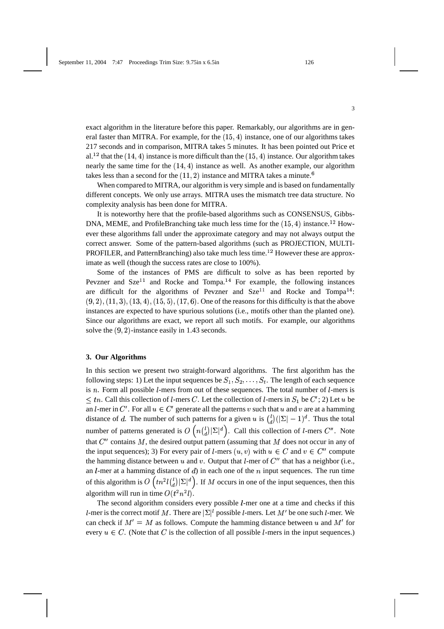exact algorithm in the literature before this paper. Remarkably, our algorithms are in general faster than MITRA. For example, for the  $(15, 4)$  instance, one of our algorithms takes 217 seconds and in comparison, MITRA takes 5 minutes. It has been pointed out Price et al.<sup>12</sup> that the (14, 4) instance is more difficult than the (15, 4) instance. Our algorithm takes nearly the same time for the  $(14, 4)$  instance as well. As another example, our algorithm takes less than a second for the  $(11,2)$  instance and MITRA takes a minute.<sup>6</sup>

When compared to MITRA, our algorithm is very simple and is based on fundamentally different concepts. We only use arrays. MITRA uses the mismatch tree data structure. No complexity analysis has been done for MITRA.

It is noteworthy here that the profile-based algorithms such as CONSENSUS, Gibbs-DNA, MEME, and ProfileBranching take much less time for the  $(15, 4)$  instance.<sup>12</sup> However these algorithms fall under the approximate category and may not always output the correct answer. Some of the pattern-based algorithms (such as PROJECTION, MULTI-PROFILER, and PatternBranching) also take much less time.<sup>12</sup> However these are approximate as well (though the success rates are close to 100%).

Some of the instances of PMS are difficult to solve as has been reported by Pevzner and Sze<sup>11</sup> and Rocke and Tompa.<sup>14</sup> For example, the following instances are difficult for the algorithms of Pevzner and  $Sze^{11}$  and Rocke and Tompa<sup>14</sup>:  $(9, 2), (11, 3), (13, 4), (15, 5), (17, 6)$ . One of the reasons for this difficulty is that the above instances are expected to have spurious solutions (i.e., motifs other than the planted one). Since our algorithms are exact, we report all such motifs. For example, our algorithms solve the  $(9, 2)$ -instance easily in 1.43 seconds.

### **3. Our Algorithms**

In this section we present two straight-forward algorithms. The first algorithm has the following steps: 1) Let the input sequences be  $S_1, S_2, \ldots, S_t$ . The length of each sequence is  $n$ . Form all possible  $l$ -mers from out of these sequences. The total number of  $l$ -mers is  $\leq tn$ . Call this collection of *l*-mers *C*. Let the collection of *l*-mers in  $S_1$  be  $C'$ ; 2) Let *u* be an *l*-mer in  $C'$ . For all  $u \in C'$  generate all the patterns v such that u and v are at a hamming distance of d. The number of such patterns for a given u is  $\binom{l}{d} (\lvert \Sigma \rvert - 1)^d$ . Thus the total number of patterns generated is  $O(n \binom{l}{d} |\Sigma|^d)$ . Call this collection of *l*-mers C''. Note that  $C''$  contains M, the desired output pattern (assuming that M does not occur in any of the input sequences); 3) For every pair of *l*-mers  $(u, v)$  with  $u \in C$  and  $v \in C''$  compute the hamming distance between u and v. Output that l-mer of  $C''$  that has a neighbor (i.e., an *l*-mer at a hamming distance of *d*) in each one of the *n* input sequences. The run time of this algorithm is  $O(tn^2l_A^l)|\Sigma|^d$ . If M occurs in one of the input sequences, then this algorithm will run in time  $O(t^2n^2l)$ .

The second algorithm considers every possible  $l$ -mer one at a time and checks if this *l*-mer is the correct motif M. There are  $|\Sigma|^l$  possible *l*-mers. Let M' be one such *l*-mer. We can check if  $M' = M$  as follows. Compute the hamming distance between u and M' for every  $u \in C$ . (Note that C is the collection of all possible *l*-mers in the input sequences.)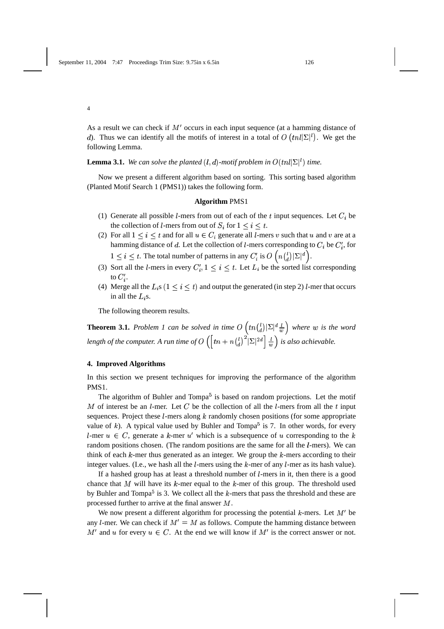As a result we can check if  $M'$  occurs in each input sequence (at a hamming distance of d). Thus we can identify all the motifs of interest in a total of  $O(tnl|\Sigma|^l)$ . We get the following Lemma.

# **Lemma 3.1.** We can solve the planted  $(l, d)$ -motif problem in  $O(tnl|\Sigma|^l)$  time.

Now we present a different algorithm based on sorting. This sorting based algorithm (Planted Motif Search 1 (PMS1)) takes the following form.

# **Algorithm** PMS1

- (1) Generate all possible *l*-mers from out of each of the *t* input sequences. Let  $C_i$  be the collection of *l*-mers from out of  $S_i$  for  $1 \leq i \leq t$ .
- (2) For all  $1 \leq i \leq t$  and for all  $u \in C_i$  generate all *l*-mers v such that u and v are at a hamming distance of d. Let the collection of l-mers corresponding to  $C_i$  be  $C'_i$ , for  $1 \leq i \leq t$ . The total number of patterns in any  $C_i'$  is  $O\left(n\binom{l}{d}|\Sigma|^d\right)$ .
- (3) Sort all the *l*-mers in every  $C'_i$ ,  $1 \le i \le t$ .  $, 1 \leq i \leq t$ . Let  $L_i$  be the sorted list corresponding to  $C_i'.$
- (4) Merge all the  $L_i$ s  $(1 \le i \le t)$  and output the generated (in step 2) *l*-mer that occurs in all the  $L_i$ s.

The following theorem results.

**Theorem 3.1.** Problem 1 can be solved in time  $O(tn \binom{l}{d} \sum_{i=1}^{d} \frac{l}{m})$  where w is the word *length of the computer. A run time of*  $O\left(\left[tn + n\binom{l}{d}\right]^2\right)$  $\ln \frac{1}{d} \left| \frac{d}{dt} \right| \left| \frac{d}{dt} \right| \frac{1}{w}$  *is also achievable.* 

## **4. Improved Algorithms**

In this section we present techniques for improving the performance of the algorithm PMS1.

The algorithm of Buhler and Tompa<sup>5</sup> is based on random projections. Let the motif M of interest be an *l*-mer. Let C be the collection of all the *l*-mers from all the *t* input sequences. Project these  $l$ -mers along  $k$  randomly chosen positions (for some appropriate value of  $k$ ). A typical value used by Buhler and Tompa<sup>5</sup> is 7. In other words, for every l-mer  $u \in C$ , generate a k-mer u' which is a subsequence of u corresponding to the k random positions chosen. (The random positions are the same for all the  $l$ -mers). We can think of each  $k$ -mer thus generated as an integer. We group the  $k$ -mers according to their integer values. (I.e., we hash all the  $l$ -mers using the  $k$ -mer of any  $l$ -mer as its hash value).

If a hashed group has at least a threshold number of *l*-mers in it, then there is a good chance that M will have its  $k$ -mer equal to the  $k$ -mer of this group. The threshold used by Buhler and Tompa<sup>5</sup> is 3. We collect all the  $k$ -mers that pass the threshold and these are processed further to arrive at the final answer  $M$ .

We now present a different algorithm for processing the potential  $k$ -mers. Let  $M'$  be any *l*-mer. We can check if  $M' = M$  as follows. Compute the hamming distance between  $M'$  and u for every  $u \in C$ . At the end we will know if  $M'$  is the correct answer or not.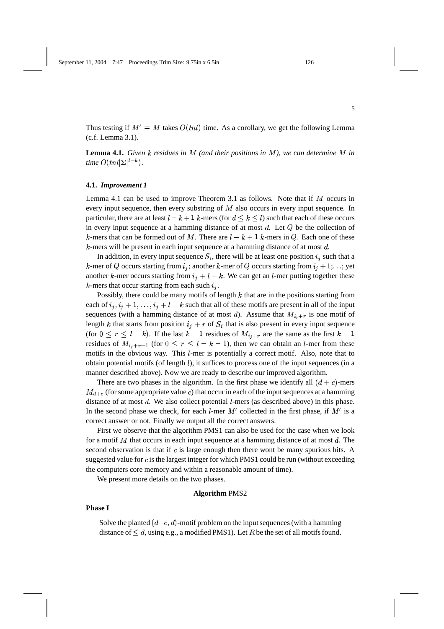Thus testing if  $M' = M$  takes  $O(tnl)$  time. As a corollary, we get the following Lemma (c.f. Lemma 3.1).

**Lemma 4.1.** *Given k residues in*  $M$  (and their positions in  $M$ ), we can determine  $M$  in *time*  $O(tnl|\Sigma|^{l-k})$ . 

# **4.1.** *Improvement 1*

Lemma 4.1 can be used to improve Theorem 3.1 as follows. Note that if  $M$  occurs in every input sequence, then every substring of  $M$  also occurs in every input sequence. In particular, there are at least  $l - k + 1$   $k$ -mers (for  $d \leq k \leq l$ ) such that each of these occurs in every input sequence at a hamming distance of at most  $d$ . Let  $Q$  be the collection of k-mers that can be formed out of M. There are  $l - k + 1$  k-mers in Q. Each one of these  $k$ -mers will be present in each input sequence at a hamming distance of at most  $d$ .

In addition, in every input sequence  $S_i$ , there will be at least one position  $i_j$  such that a k-mer of Q occurs starting from  $i_j$ ; another k-mer of Q occurs starting from  $i_j + 1; \ldots;$  yet another k-mer occurs starting from  $i_j + l - k$ . We can get an l-mer putting together these k-mers that occur starting from each such  $i_j$ .

Possibly, there could be many motifs of length  $k$  that are in the positions starting from each of  $i_j$ ,  $i_j + 1, \ldots, i_j + l - k$  such that all of these motifs are present in all of the input sequences (with a hamming distance of at most d). Assume that  $M_{i, +r}$  is one motif of length k that starts from position  $i_j + r$  of  $S_i$  that is also present in every input sequence (for  $0 \le r \le l - k$ ). If the last  $k - 1$  residues of  $M_{i+r}$  are the same as the first  $k - 1$  residues of  $M_{i_1+r+1}$  (for  $0 \leq r \leq l-k-1$ ), then we can obtain an *l*-mer from these motifs in the obvious way. This *l*-mer is potentially a correct motif. Also, note that to obtain potential motifs (of length  $l$ ), it suffices to process one of the input sequences (in a manner described above). Now we are ready to describe our improved algorithm.

There are two phases in the algorithm. In the first phase we identify all  $(d + c)$ -mers  $M_{d+c}$  (for some appropriate value c) that occur in each of the input sequences at a hamming distance of at most  $d$ . We also collect potential  $l$ -mers (as described above) in this phase. In the second phase we check, for each *l*-mer  $M'$  collected in the first phase, if  $M'$  is a correct answer or not. Finally we output all the correct answers.

First we observe that the algorithm PMS1 can also be used for the case when we look for a motif  $M$  that occurs in each input sequence at a hamming distance of at most  $d$ . The second observation is that if  $c$  is large enough then there wont be many spurious hits. A suggested value for  $c$  is the largest integer for which PMS1 could be run (without exceeding the computers core memory and within a reasonable amount of time).

We present more details on the two phases.

### **Algorithm** PMS2

#### **Phase I**

Solve the planted  $(d+c, d)$ -motif problem on the input sequences (with a hamming distance of  $\leq d$ , using e.g., a modified PMS1). Let R be the set of all motifs found.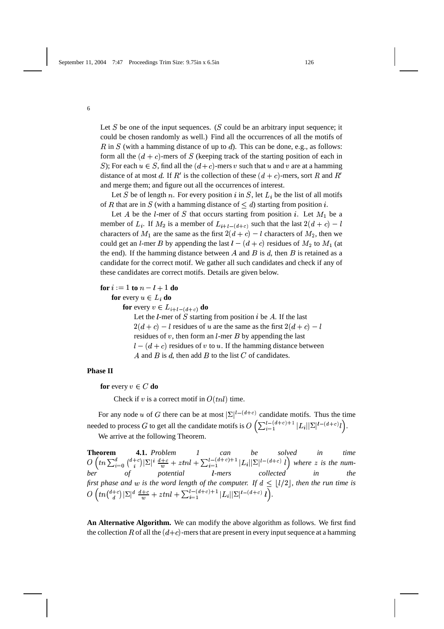Let  $S$  be one of the input sequences. ( $S$  could be an arbitrary input sequence; it could be chosen randomly as well.) Find all the occurrences of all the motifs of  $\hat{R}$  in  $\hat{S}$  (with a hamming distance of up to  $\hat{d}$ ). This can be done, e.g., as follows: form all the  $(d + c)$ -mers of S (keeping track of the starting position of each in S); For each  $u \in S$ , find all the  $(d+c)$ -mers v such that u and v are at a hamming distance of at most d. If R' is the collection of these  $(d + c)$ -mers, sort R and R' and merge them; and figure out all the occurrences of interest.

Let S be of length n. For every position i in S, let  $L_i$  be the list of all motifs of R that are in S (with a hamming distance of  $\leq d$ ) starting from position *i*.

Let A be the l-mer of S that occurs starting from position i. Let  $M_1$  be a member of  $L_i$ . If  $M_2$  is a member of  $L_{i+l-(d+c)}$  such that the last  $2(d+c)-l$ characters of  $M_1$  are the same as the first  $2(d+c) - l$  characters of  $M_2$ , then we could get an *l*-mer *B* by appending the last  $l - (d + c)$  residues of  $M_2$  to  $M_1$  (at the end). If the hamming distance between  $A$  and  $B$  is  $d$ , then  $B$  is retained as a candidate for the correct motif. We gather all such candidates and check if any of these candidates are correct motifs. Details are given below.

for  $i := 1$  to  $n - l + 1$  do

```
{\bf for\ every\ } u\in L_i\ {\bf do}
```
**for** every  $v \in L_{i+l-(d+c)}$  **do** 

Let the *l*-mer of  $S$  starting from position  $i$  be  $A$ . If the last  $2(d+c) - l$  residues of u are the same as the first  $2(d+c) - l$ residues of  $v$ , then form an  $l$ -mer  $B$  by appending the last  $l - (d + c)$  residues of v to u. If the hamming distance between A and  $B$  is  $d$ , then add  $B$  to the list  $C$  of candidates.

# **Phase II**

**for** every  $v \in C$  **do** 

Check if v is a correct motif in  $O(tnl)$  time.

For any node u of G there can be at most  $|\Sigma|^{l-(d+c)}$  candidate motifs. Thus the time needed to process G to get all the candidate motifs is  $O\left(\sum_{i=1}^{l-(d+c)+1} |L_i||\Sigma|^{l-(d+c)}l\right)$ . We arrive at the following Theorem.

**Theorem 4.1.** *Problem 1 can be solved in time*  $O\left(tn\sum_{i=0}^d\binom{d+c}{i}|\Sigma|^i\ \frac{d+c}{w}$  - $\sum_{i=1}^{d+c} |\Sigma|^i \frac{d+c}{w} + ztnl + \sum_{i=1}^{l-(d+c)+1} |L_i||\Sigma|^{l-(d+c)} l$  where z is the num*ber of potential -mers collected in the* first phase and w is the word length of the computer. If  $d \leq \lfloor l/2 \rfloor$ , then the run time is  $O\left(tn\binom{d+c}{d}|\Sigma|^d\frac{d+c}{m}+ztnl+\sum_{i=1}^{l-(d+c)+1}|L_i||\Sigma|^{l-(d+c)}l\right).$ 

**An Alternative Algorithm.** We can modify the above algorithm as follows. We first find the collection R of all the  $(d+c)$ -mers that are present in every input sequence at a hamming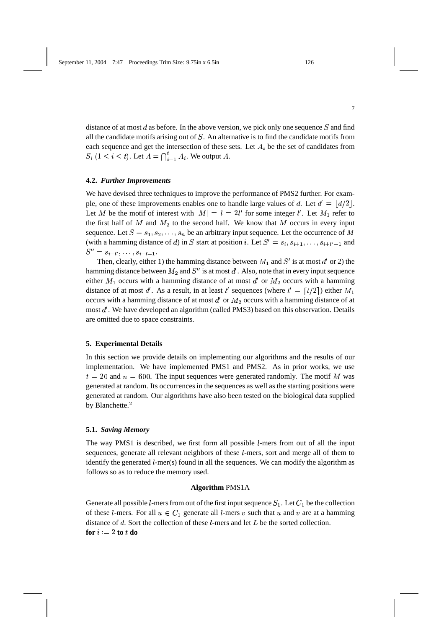distance of at most d as before. In the above version, we pick only one sequence  $S$  and find all the candidate motifs arising out of  $S$ . An alternative is to find the candidate motifs from each sequence and get the intersection of these sets. Let  $A_i$  be the set of candidates from  $S_i$   $(1 \leq i \leq t)$ . Let  $A = \bigcap_{i=1}^t A_i$ . We out  $\sum_{i=1}^{l} A_i$ . We output A.

# **4.2.** *Further Improvements*

We have devised three techniques to improve the performance of PMS2 further. For example, one of these improvements enables one to handle large values of d. Let  $d' = \lfloor d/2 \rfloor$ . Let M be the motif of interest with  $|M|=l=2l'$  for some integer l'. Let  $M_1$  refer to the first half of M and  $M_2$  to the second half. We know that M occurs in every input sequence. Let  $S = s_1, s_2, \ldots, s_n$  be an arbitrary input sequence. Let the occurrence of M (with a hamming distance of d) in S start at position i. Let  $S' = s_i, s_{i+1}, \ldots, s_{i+l'-1}$  and  $S''=s_{i+l'},\ldots,s_{i+l-1}.$ 

Then, clearly, either 1) the hamming distance between  $M_1$  and  $S'$  is at most  $d'$  or 2) the hamming distance between  $M_2$  and  $S''$  is at most  $d'$  . Also, note that in every input sequence either  $M_1$  occurs with a hamming distance of at most  $d'$  or  $M_2$  occurs with a hamming distance of at most d'. As a result, in at least t' sequences (where  $t' = \lceil t/2 \rceil$ ) either  $M_1$ occurs with a hamming distance of at most  $d'$  or  $M_2$  occurs with a hamming distance of at most  $d'$ . We have developed an algorithm (called PMS3) based on this observation. Details are omitted due to space constraints.

# **5. Experimental Details**

In this section we provide details on implementing our algorithms and the results of our implementation. We have implemented PMS1 and PMS2. As in prior works, we use  $t = 20$  and  $n = 600$ . The input sequences were generated randomly. The motif M was generated at random. Its occurrences in the sequences as well as the starting positions were generated at random. Our algorithms have also been tested on the biological data supplied by Blanchette.<sup>2</sup>

### **5.1.** *Saving Memory*

The way PMS1 is described, we first form all possible *l*-mers from out of all the input sequences, generate all relevant neighbors of these  $l$ -mers, sort and merge all of them to identify the generated *l*-mer(s) found in all the sequences. We can modify the algorithm as follows so as to reduce the memory used.

### **Algorithm** PMS1A

Generate all possible *l*-mers from out of the first input sequence  $S_1$ . Let  $C_1$  be the collection of these *l*-mers. For all  $u \in C_1$  generate all *l*-mers v such that u and v are at a hamming distance of  $d$ . Sort the collection of these  $l$ -mers and let  $L$  be the sorted collection. for  $i := 2$  to  $t$  do

7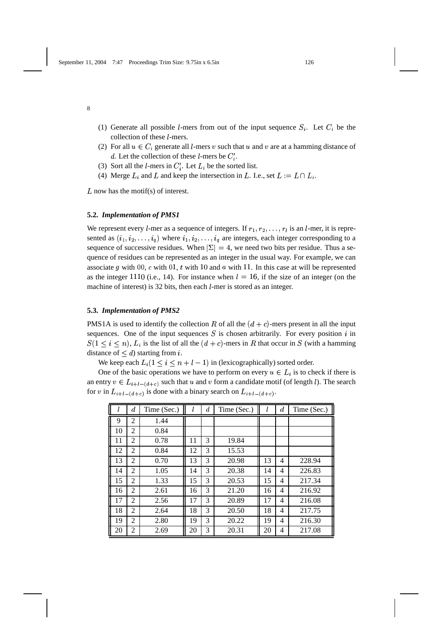- (1) Generate all possible l-mers from out of the input sequence  $S_i$ . Let  $C_i$  be the collection of these  $l$ -mers.
- (2) For all  $u \in C_i$  generate all *l*-mers v such that u and v are at a hamming distance of d. Let the collection of these l-mers be  $C_i'$ .
- (3) Sort all the *l*-mers in  $C_i'$ . Let  $L_i$  be the sorted list.
- (4) Merge  $L_i$  and  $L$  and keep the intersection in  $L$ . I.e., set  $L := L \cap L_i$ .

 $L$  now has the motif(s) of interest.

#### **5.2.** *Implementation of PMS1*

We represent every *l*-mer as a sequence of integers. If  $r_1, r_2, \ldots, r_l$  is an *l*-mer, it is represented as  $(i_1, i_2, \ldots, i_q)$  where  $i_1, i_2, \ldots, i_q$  are integers, each integer corresponding to a sequence of successive residues. When  $|\Sigma| = 4$ , we need two bits per residue. Thus a sequence of residues can be represented as an integer in the usual way. For example, we can associate  $g$  with 00,  $c$  with 01,  $t$  with 10 and  $a$  with 11. In this case at will be represented as the integer 1110 (i.e., 14). For instance when  $l = 16$ , if the size of an integer (on the machine of interest) is  $32$  bits, then each *l*-mer is stored as an integer.

# **5.3.** *Implementation of PMS2*

PMS1A is used to identify the collection R of all the  $(d + c)$ -mers present in all the input sequences. One of the input sequences  $S$  is chosen arbitrarily. For every position i in  $S(1 \leq i \leq n)$ ,  $L_i$  is the list of all the  $(d + c)$ -mers in R that occur in S (with a hamming distance of  $\leq d$ ) starting from *i*.

We keep each  $L_i(1 \leq i \leq n+l-1)$  in (lexicographically) sorted order.

One of the basic operations we have to perform on every  $u \in L_i$  is to check if there is an entry  $v \in L_{i+l-(d+c)}$  such that u and v form a candidate motif (of length l). The search for v in  $L_{i+l-(d+c)}$  is done with a binary search on  $L_{i+l-(d+c)}$ .

|    | d              | Time (Sec.) | l  | d | Time (Sec.) |    | d | Time (Sec.) |
|----|----------------|-------------|----|---|-------------|----|---|-------------|
| 9  | $\overline{2}$ | 1.44        |    |   |             |    |   |             |
| 10 | $\overline{c}$ | 0.84        |    |   |             |    |   |             |
| 11 | 2              | 0.78        | 11 | 3 | 19.84       |    |   |             |
| 12 | 2              | 0.84        | 12 | 3 | 15.53       |    |   |             |
| 13 | $\overline{c}$ | 0.70        | 13 | 3 | 20.98       | 13 | 4 | 228.94      |
| 14 | 2              | 1.05        | 14 | 3 | 20.38       | 14 | 4 | 226.83      |
| 15 | $\overline{2}$ | 1.33        | 15 | 3 | 20.53       | 15 | 4 | 217.34      |
| 16 | $\overline{c}$ | 2.61        | 16 | 3 | 21.20       | 16 | 4 | 216.92      |
| 17 | $\overline{c}$ | 2.56        | 17 | 3 | 20.89       | 17 | 4 | 216.08      |
| 18 | $\overline{c}$ | 2.64        | 18 | 3 | 20.50       | 18 | 4 | 217.75      |
| 19 | $\overline{c}$ | 2.80        | 19 | 3 | 20.22       | 19 | 4 | 216.30      |
| 20 | $\overline{2}$ | 2.69        | 20 | 3 | 20.31       | 20 | 4 | 217.08      |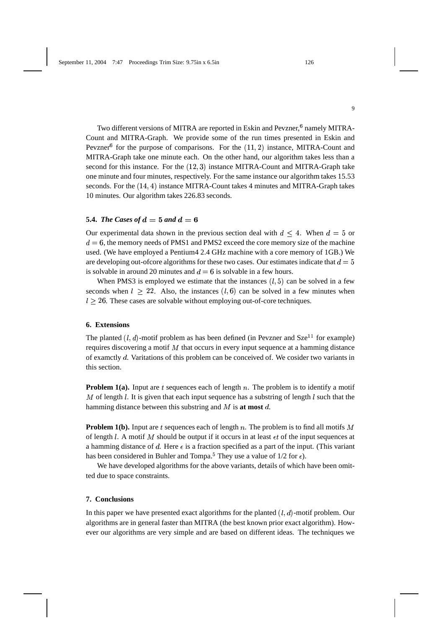Two different versions of MITRA are reported in Eskin and Pevzner,<sup>6</sup> namely MITRA-Count and MITRA-Graph. We provide some of the run times presented in Eskin and Pevzner<sup>6</sup> for the purpose of comparisons. For the  $(11, 2)$  instance, MITRA-Count and MITRA-Graph take one minute each. On the other hand, our algorithm takes less than a second for this instance. For the  $(12,3)$  instance MITRA-Count and MITRA-Graph take one minute and four minutes, respectively. For the same instance our algorithm takes 15.53 seconds. For the (14, 4) instance MITRA-Count takes 4 minutes and MITRA-Graph takes 10 minutes. Our algorithm takes 226.83 seconds.

# **5.4.** *The Cases of*  $d = 5$  *and*  $d = 6$

Our experimental data shown in the previous section deal with  $d \leq 4$ . When  $d = 5$  or  $d = 6$ , the memory needs of PMS1 and PMS2 exceed the core memory size of the machine used. (We have employed a Pentium4 2.4 GHz machine with a core memory of 1GB.) We are developing out-ofcore algorithms for these two cases. Our estimates indicate that  $d=5$ is solvable in around 20 minutes and  $d = 6$  is solvable in a few hours.

When PMS3 is employed we estimate that the instances  $(l, 5)$  can be solved in a few seconds when  $l \geq 22$ . Also, the instances  $(l, 6)$  can be solved in a few minutes when  $l \geq 26$ . These cases are solvable without employing out-of-core techniques.

### **6. Extensions**

The planted  $(l, d)$ -motif problem as has been defined (in Pevzner and Sze<sup>11</sup> for example) requires discovering a motif  $M$  that occurs in every input sequence at a hamming distance of examctly  $d$ . Varitations of this problem can be conceived of. We cosider two variants in this section.

**Problem 1(a).** Input are  $t$  sequences each of length  $n$ . The problem is to identify a motif M of length l. It is given that each input sequence has a substring of length l such that the hamming distance between this substring and  $M$  is **at most**  $d$ .

**Problem 1(b).** Input are t sequences each of length  $n$ . The problem is to find all motifs M of length l. A motif M should be output if it occurs in at least  $\epsilon t$  of the input sequences at a hamming distance of d. Here  $\epsilon$  is a fraction specified as a part of the input. (This variant has been considered in Buhler and Tompa.<sup>5</sup> They use a value of  $1/2$  for  $\epsilon$ ).

We have developed algorithms for the above variants, details of which have been omitted due to space constraints.

### **7. Conclusions**

In this paper we have presented exact algorithms for the planted  $(l, d)$ -motif problem. Our algorithms are in general faster than MITRA (the best known prior exact algorithm). However our algorithms are very simple and are based on different ideas. The techniques we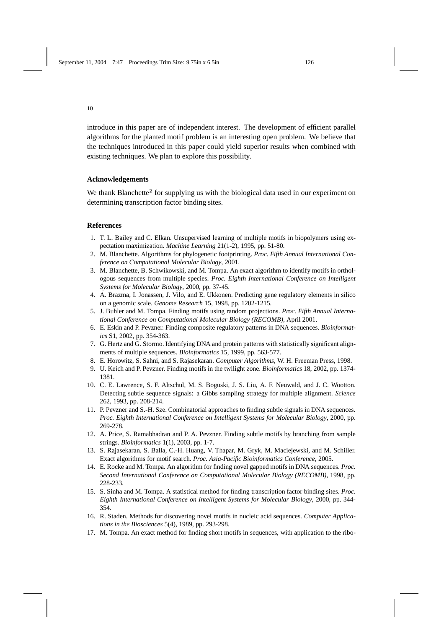introduce in this paper are of independent interest. The development of efficient parallel algorithms for the planted motif problem is an interesting open problem. We believe that the techniques introduced in this paper could yield superior results when combined with existing techniques. We plan to explore this possibility.

# **Acknowledgements**

We thank Blanchette<sup>2</sup> for supplying us with the biological data used in our experiment on determining transcription factor binding sites.

### **References**

- 1. T. L. Bailey and C. Elkan. Unsupervised learning of multiple motifs in biopolymers using expectation maximization. *Machine Learning* 21(1-2), 1995, pp. 51-80.
- 2. M. Blanchette. Algorithms for phylogenetic footprinting. *Proc. Fifth Annual International Conference on Computational Molecular Biology*, 2001.
- 3. M. Blanchette, B. Schwikowski, and M. Tompa. An exact algorithm to identify motifs in orthologous sequences from multiple species. *Proc. Eighth International Conference on Intelligent Systems for Molecular Biology*, 2000, pp. 37-45.
- 4. A. Brazma, I. Jonassen, J. Vilo, and E. Ukkonen. Predicting gene regulatory elements in silico on a genomic scale. *Genome Research* 15, 1998, pp. 1202-1215.
- 5. J. Buhler and M. Tompa. Finding motifs using random projections. *Proc. Fifth Annual International Conference on Computational Molecular Biology (RECOMB)*, April 2001.
- 6. E. Eskin and P. Pevzner. Finding composite regulatory patterns in DNA sequences. *Bioinformatics* S1, 2002, pp. 354-363.
- 7. G. Hertz and G. Stormo. Identifying DNA and protein patterns with statistically significant alignments of multiple sequences. *Bioinformatics* 15, 1999, pp. 563-577.
- 8. E. Horowitz, S. Sahni, and S. Rajasekaran. *Computer Algorithms*, W. H. Freeman Press, 1998.
- 9. U. Keich and P. Pevzner. Finding motifs in the twilight zone. *Bioinformatics* 18, 2002, pp. 1374- 1381.
- 10. C. E. Lawrence, S. F. Altschul, M. S. Boguski, J. S. Liu, A. F. Neuwald, and J. C. Wootton. Detecting subtle sequence signals: a Gibbs sampling strategy for multiple alignment. *Science* 262, 1993, pp. 208-214.
- 11. P. Pevzner and S.-H. Sze. Combinatorial approaches to finding subtle signals in DNA sequences. *Proc. Eighth International Conference on Intelligent Systems for Molecular Biology*, 2000, pp. 269-278.
- 12. A. Price, S. Ramabhadran and P. A. Pevzner. Finding subtle motifs by branching from sample strings. *Bioinformatics* 1(1), 2003, pp. 1-7.
- 13. S. Rajasekaran, S. Balla, C.-H. Huang, V. Thapar, M. Gryk, M. Maciejewski, and M. Schiller. Exact algorithms for motif search. *Proc. Asia-Pacific Bioinformatics Conference*, 2005.
- 14. E. Rocke and M. Tompa. An algorithm for finding novel gapped motifs in DNA sequences. *Proc. Second International Conference on Computational Molecular Biology (RECOMB)*, 1998, pp. 228-233.
- 15. S. Sinha and M. Tompa. A statistical method for finding transcription factor binding sites. *Proc. Eighth International Conference on Intelligent Systems for Molecular Biology*, 2000, pp. 344- 354.
- 16. R. Staden. Methods for discovering novel motifs in nucleic acid sequences. *Computer Applications in the Biosciences* 5(4), 1989, pp. 293-298.
- 17. M. Tompa. An exact method for finding short motifs in sequences, with application to the ribo-